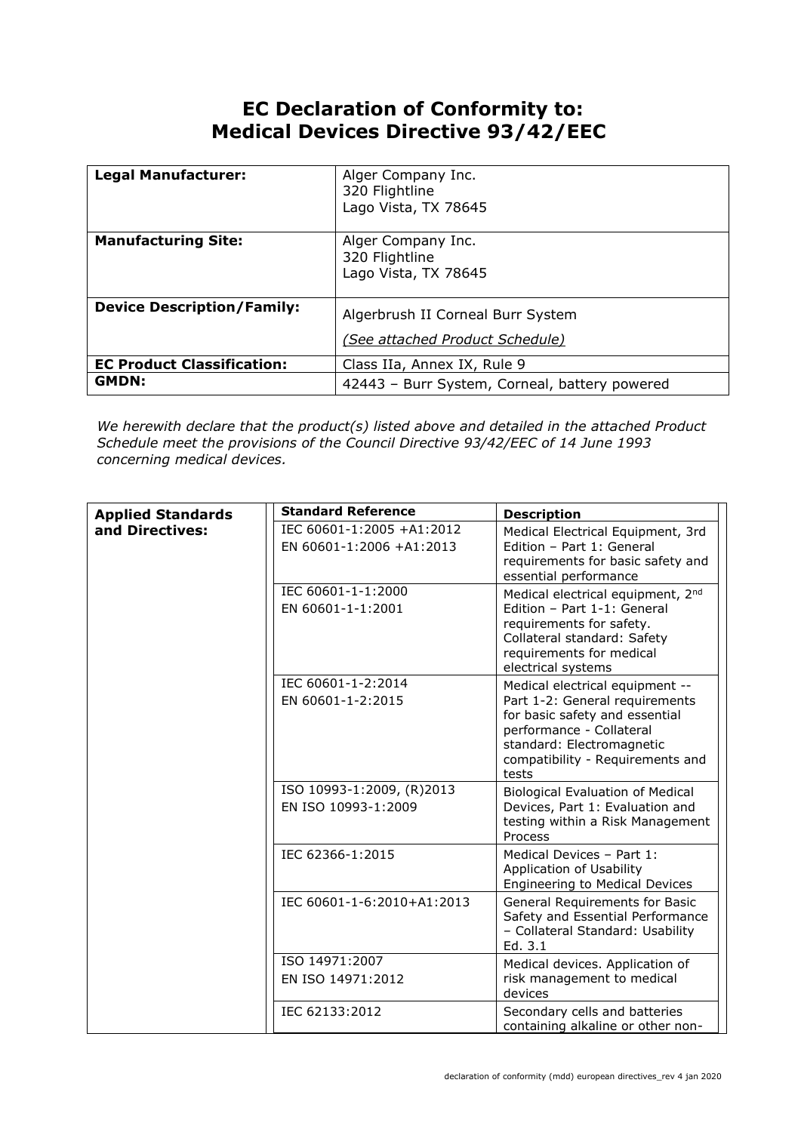## **EC Declaration of Conformity to: Medical Devices Directive 93/42/EEC**

| <b>Legal Manufacturer:</b>        | Alger Company Inc.<br>320 Flightline<br>Lago Vista, TX 78645         |
|-----------------------------------|----------------------------------------------------------------------|
| <b>Manufacturing Site:</b>        | Alger Company Inc.<br>320 Flightline<br>Lago Vista, TX 78645         |
| <b>Device Description/Family:</b> | Algerbrush II Corneal Burr System<br>(See attached Product Schedule) |
| <b>EC Product Classification:</b> | Class IIa, Annex IX, Rule 9                                          |
| <b>GMDN:</b>                      | 42443 - Burr System, Corneal, battery powered                        |

*We herewith declare that the product(s) listed above and detailed in the attached Product Schedule meet the provisions of the Council Directive 93/42/EEC of 14 June 1993 concerning medical devices.*

| <b>Applied Standards</b> | <b>Standard Reference</b>                             | <b>Description</b>                                                                                                                                                                                        |
|--------------------------|-------------------------------------------------------|-----------------------------------------------------------------------------------------------------------------------------------------------------------------------------------------------------------|
| and Directives:          | IEC 60601-1:2005 +A1:2012<br>EN 60601-1:2006 +A1:2013 | Medical Electrical Equipment, 3rd<br>Edition - Part 1: General<br>requirements for basic safety and<br>essential performance                                                                              |
|                          | IEC 60601-1-1:2000<br>EN 60601-1-1:2001               | Medical electrical equipment, 2 <sup>nd</sup><br>Edition - Part 1-1: General<br>requirements for safety.<br>Collateral standard: Safety<br>requirements for medical<br>electrical systems                 |
|                          | IEC 60601-1-2:2014<br>EN 60601-1-2:2015               | Medical electrical equipment --<br>Part 1-2: General requirements<br>for basic safety and essential<br>performance - Collateral<br>standard: Electromagnetic<br>compatibility - Requirements and<br>tests |
|                          | ISO 10993-1:2009, (R)2013<br>EN ISO 10993-1:2009      | <b>Biological Evaluation of Medical</b><br>Devices, Part 1: Evaluation and<br>testing within a Risk Management<br>Process                                                                                 |
|                          | IEC 62366-1:2015                                      | Medical Devices - Part 1:<br>Application of Usability<br>Engineering to Medical Devices                                                                                                                   |
|                          | IEC 60601-1-6:2010+A1:2013                            | General Requirements for Basic<br>Safety and Essential Performance<br>- Collateral Standard: Usability<br>Ed. 3.1                                                                                         |
|                          | ISO 14971:2007<br>EN ISO 14971:2012                   | Medical devices. Application of<br>risk management to medical<br>devices                                                                                                                                  |
|                          | IEC 62133:2012                                        | Secondary cells and batteries<br>containing alkaline or other non-                                                                                                                                        |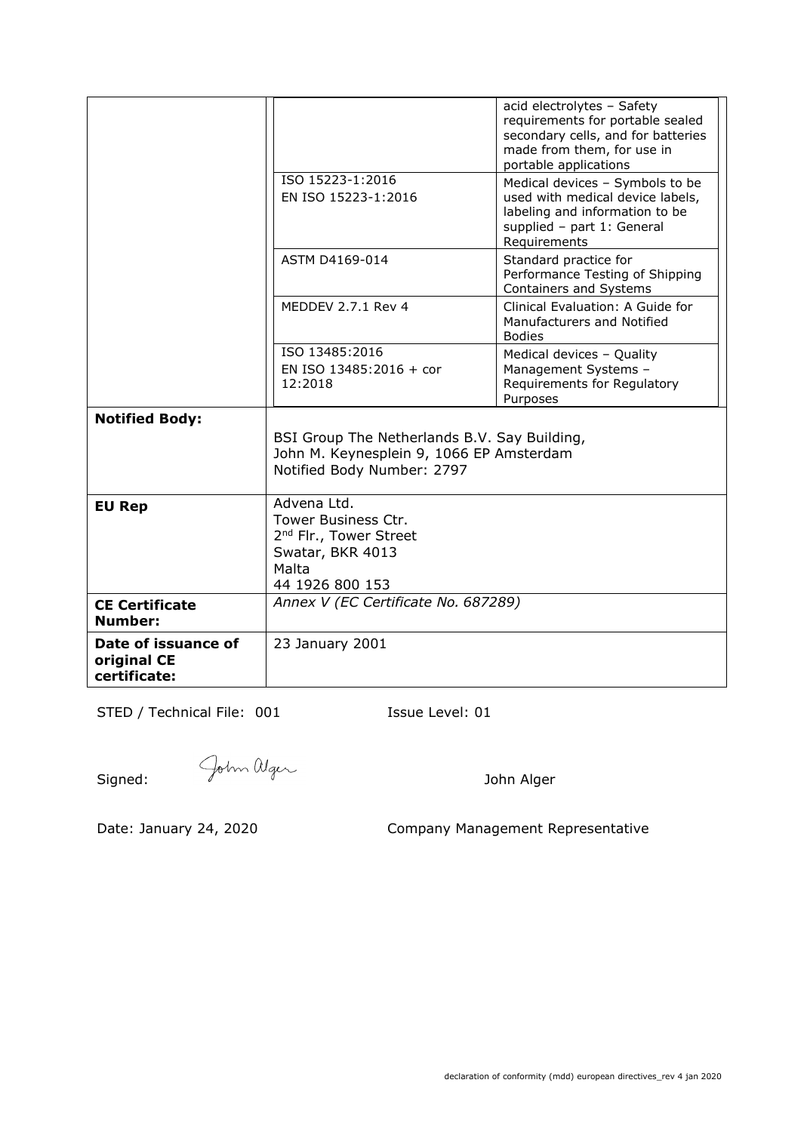|                                                    | ISO 15223-1:2016<br>EN ISO 15223-1:2016                                                                                  | acid electrolytes - Safety<br>requirements for portable sealed<br>secondary cells, and for batteries<br>made from them, for use in<br>portable applications<br>Medical devices - Symbols to be<br>used with medical device labels,<br>labeling and information to be<br>supplied - part 1: General<br>Requirements |
|----------------------------------------------------|--------------------------------------------------------------------------------------------------------------------------|--------------------------------------------------------------------------------------------------------------------------------------------------------------------------------------------------------------------------------------------------------------------------------------------------------------------|
|                                                    | ASTM D4169-014                                                                                                           | Standard practice for<br>Performance Testing of Shipping<br>Containers and Systems                                                                                                                                                                                                                                 |
|                                                    | MEDDEV 2.7.1 Rev 4                                                                                                       | Clinical Evaluation: A Guide for<br>Manufacturers and Notified<br><b>Bodies</b>                                                                                                                                                                                                                                    |
|                                                    | ISO 13485:2016<br>EN ISO 13485:2016 + cor<br>12:2018                                                                     | Medical devices - Quality<br>Management Systems -<br>Requirements for Regulatory<br>Purposes                                                                                                                                                                                                                       |
| <b>Notified Body:</b>                              | BSI Group The Netherlands B.V. Say Building,<br>John M. Keynesplein 9, 1066 EP Amsterdam<br>Notified Body Number: 2797   |                                                                                                                                                                                                                                                                                                                    |
| <b>EU Rep</b>                                      | Advena Ltd.<br>Tower Business Ctr.<br>2 <sup>nd</sup> Flr., Tower Street<br>Swatar, BKR 4013<br>Malta<br>44 1926 800 153 |                                                                                                                                                                                                                                                                                                                    |
| <b>CE Certificate</b><br><b>Number:</b>            | Annex V (EC Certificate No. 687289)                                                                                      |                                                                                                                                                                                                                                                                                                                    |
| Date of issuance of<br>original CE<br>certificate: | 23 January 2001                                                                                                          |                                                                                                                                                                                                                                                                                                                    |

STED / Technical File: 001 Issue Level: 01

Signed: John Alger

Date: January 24, 2020 Company Management Representative